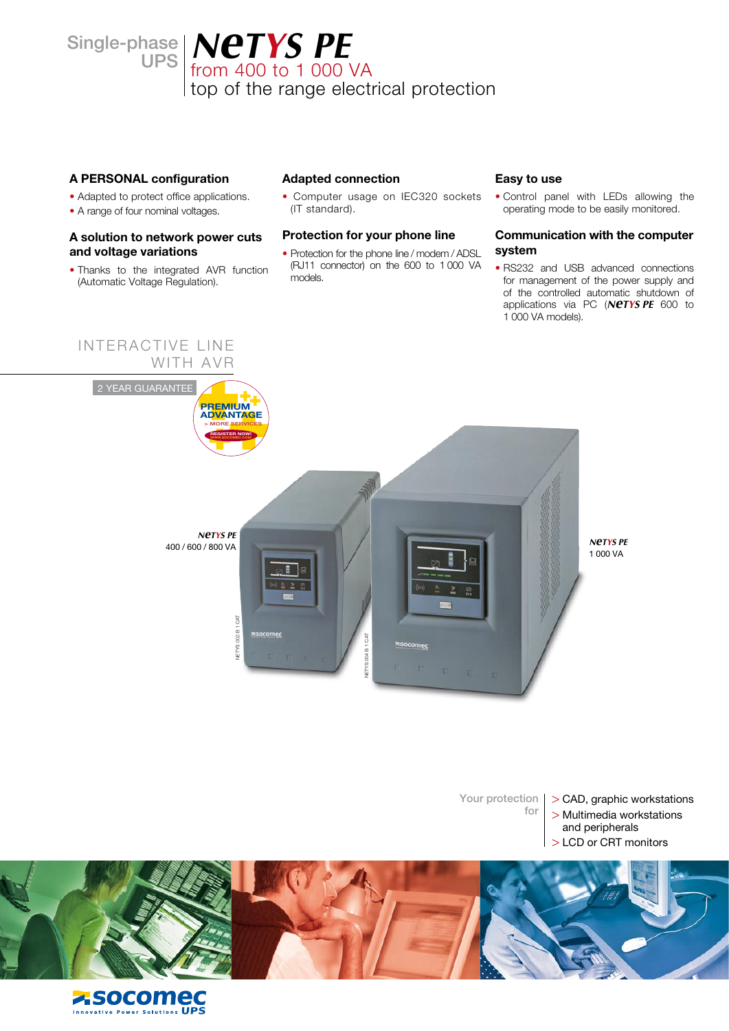hase | **NCTYS PE**<br>UPS | from 400 to 1 000 VA top of the range electrical protection

## **A PERSONAL configuration**

Single-phase

- Adapted to protect office applications.
- A range of four nominal voltages.

## **A solution to network power cuts and voltage variations**

• Thanks to the integrated AVR function (Automatic Voltage Regulation).

### **Adapted connection**

• Computer usage on IEC320 sockets (IT standard).

### **Protection for your phone line**

• Protection for the phone line / modem / ADSL (RJ11 connector) on the 600 to 1 000 VA models.

### **Easy to use**

• Control panel with LEDs allowing the operating mode to be easily monitored.

### **Communication with the computer system**

• RS232 and USB advanced connections for management of the power supply and of the controlled automatic shutdown of applications via PC (*NeTYS PE* 600 to 1 000 VA models).



Your protection for

- > CAD, graphic workstations
- > Multimedia workstations
- and peripherals LCD or CRT monitors